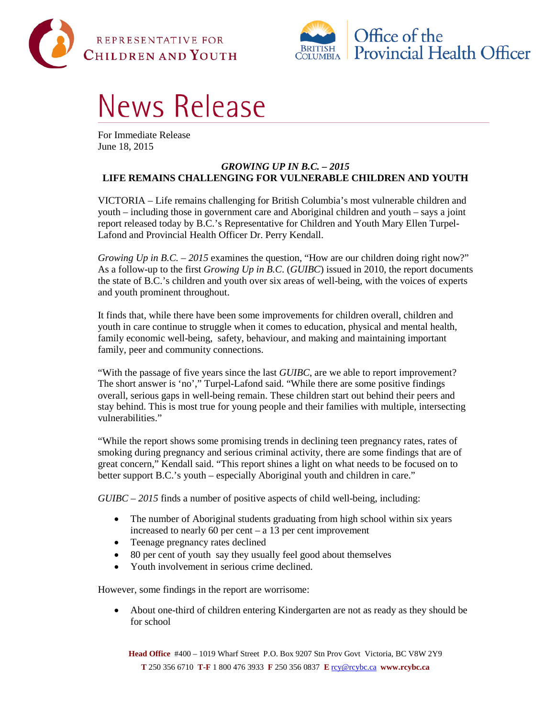



## News Release

For Immediate Release June 18, 2015

## *GROWING UP IN B.C. – 2015* **LIFE REMAINS CHALLENGING FOR VULNERABLE CHILDREN AND YOUTH**

VICTORIA – Life remains challenging for British Columbia's most vulnerable children and youth – including those in government care and Aboriginal children and youth – says a joint report released today by B.C.'s Representative for Children and Youth Mary Ellen Turpel-Lafond and Provincial Health Officer Dr. Perry Kendall.

*Growing Up in B.C.* – 2015 examines the question, "How are our children doing right now?" As a follow-up to the first *Growing Up in B.C*. (*GUIBC*) issued in 2010, the report documents the state of B.C.'s children and youth over six areas of well-being, with the voices of experts and youth prominent throughout.

It finds that, while there have been some improvements for children overall, children and youth in care continue to struggle when it comes to education, physical and mental health, family economic well-being, safety, behaviour, and making and maintaining important family, peer and community connections.

"With the passage of five years since the last *GUIBC*, are we able to report improvement? The short answer is 'no'," Turpel-Lafond said. "While there are some positive findings overall, serious gaps in well-being remain. These children start out behind their peers and stay behind. This is most true for young people and their families with multiple, intersecting vulnerabilities."

"While the report shows some promising trends in declining teen pregnancy rates, rates of smoking during pregnancy and serious criminal activity, there are some findings that are of great concern," Kendall said. "This report shines a light on what needs to be focused on to better support B.C.'s youth – especially Aboriginal youth and children in care."

*GUIBC – 2015* finds a number of positive aspects of child well-being, including:

- The number of Aboriginal students graduating from high school within six years increased to nearly 60 per cent – a 13 per cent improvement
- Teenage pregnancy rates declined
- 80 per cent of youth say they usually feel good about themselves
- Youth involvement in serious crime declined.

However, some findings in the report are worrisome:

• About one-third of children entering Kindergarten are not as ready as they should be for school

**Head Office** #400 – 1019 Wharf Street P.O. Box 9207 Stn Prov Govt Victoria, BC V8W 2Y9 **T** 250 356 6710 **T-F** 1 800 476 3933 **F** 250 356 0837 **E** [rcy@rcybc.ca](mailto:rcy@rcybc.ca) **www.rcybc.ca**